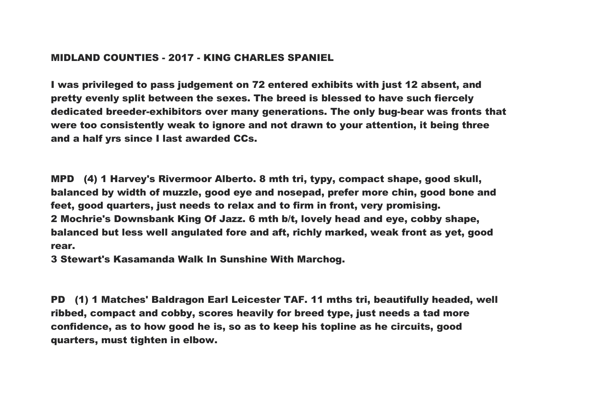## MIDLAND COUNTIES - 2017 - KING CHARLES SPANIEL

I was privileged to pass judgement on 72 entered exhibits with just 12 absent, and pretty evenly split between the sexes. The breed is blessed to have such fiercely dedicated breeder-exhibitors over many generations. The only bug-bear was fronts that were too consistently weak to ignore and not drawn to your attention, it being three and a half yrs since I last awarded CCs.

MPD (4) 1 Harvey's Rivermoor Alberto. 8 mth tri, typy, compact shape, good skull, balanced by width of muzzle, good eye and nosepad, prefer more chin, good bone and feet, good quarters, just needs to relax and to firm in front, very promising. 2 Mochrie's Downsbank King Of Jazz. 6 mth b/t, lovely head and eye, cobby shape, balanced but less well angulated fore and aft, richly marked, weak front as yet, good rear.

3 Stewart's Kasamanda Walk In Sunshine With Marchog.

PD (1) 1 Matches' Baldragon Earl Leicester TAF. 11 mths tri, beautifully headed, well ribbed, compact and cobby, scores heavily for breed type, just needs a tad more confidence, as to how good he is, so as to keep his topline as he circuits, good quarters, must tighten in elbow.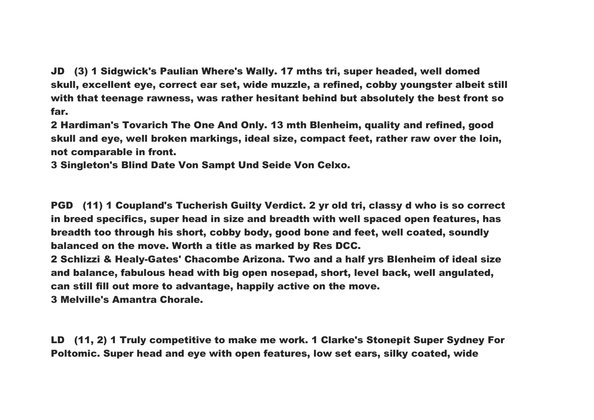JD (3) 1 Sidgwick's Paulian Where's Wally. 17 mths tri, super headed, well domed skull, excellent eye, correct ear set, wide muzzle, a refined, cobby youngster albeit still with that teenage rawness, was rather hesitant behind but absolutely the best front so far.

2 Hardiman's Tovarich The One And Only. 13 mth Blenheim, quality and refined, good skull and eye, well broken markings, ideal size, compact feet, rather raw over the loin, not comparable in front.

3 Singleton's Blind Date Von Sampt Und Seide Von Celxo.

PGD (11) 1 Coupland's Tucherish Guilty Verdict. 2 yr old tri, classy d who is so correct in breed specifics, super head in size and breadth with well spaced open features, has breadth too through his short, cobby body, good bone and feet, well coated, soundly balanced on the move. Worth a title as marked by Res DCC.

2 Schlizzi & Healy-Gates' Chacombe Arizona. Two and a half yrs Blenheim of ideal size and balance, fabulous head with big open nosepad, short, level back, well angulated, can still fill out more to advantage, happily active on the move.

3 Melville's Amantra Chorale.

LD (11, 2) 1 Truly competitive to make me work. 1 Clarke's Stonepit Super Sydney For Poltomic. Super head and eye with open features, low set ears, silky coated, wide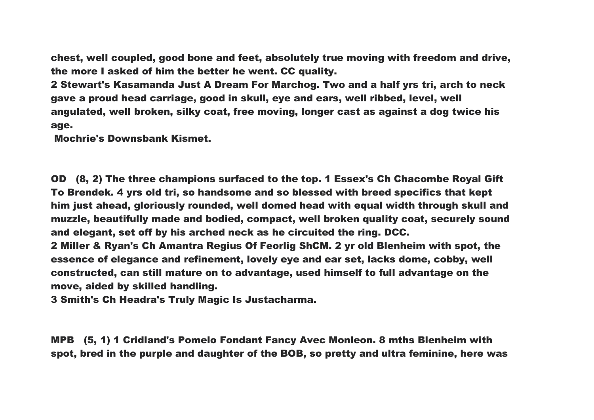chest, well coupled, good bone and feet, absolutely true moving with freedom and drive, the more I asked of him the better he went. CC quality.

2 Stewart's Kasamanda Just A Dream For Marchog. Two and a half yrs tri, arch to neck gave a proud head carriage, good in skull, eye and ears, well ribbed, level, well angulated, well broken, silky coat, free moving, longer cast as against a dog twice his age.

Mochrie's Downsbank Kismet.

OD (8, 2) The three champions surfaced to the top. 1 Essex's Ch Chacombe Royal Gift To Brendek. 4 yrs old tri, so handsome and so blessed with breed specifics that kept him just ahead, gloriously rounded, well domed head with equal width through skull and muzzle, beautifully made and bodied, compact, well broken quality coat, securely sound and elegant, set off by his arched neck as he circuited the ring. DCC. 2 Miller & Ryan's Ch Amantra Regius Of Feorlig ShCM. 2 yr old Blenheim with spot, the essence of elegance and refinement, lovely eye and ear set, lacks dome, cobby, well constructed, can still mature on to advantage, used himself to full advantage on the move, aided by skilled handling.

3 Smith's Ch Headra's Truly Magic Is Justacharma.

MPB (5, 1) 1 Cridland's Pomelo Fondant Fancy Avec Monleon. 8 mths Blenheim with spot, bred in the purple and daughter of the BOB, so pretty and ultra feminine, here was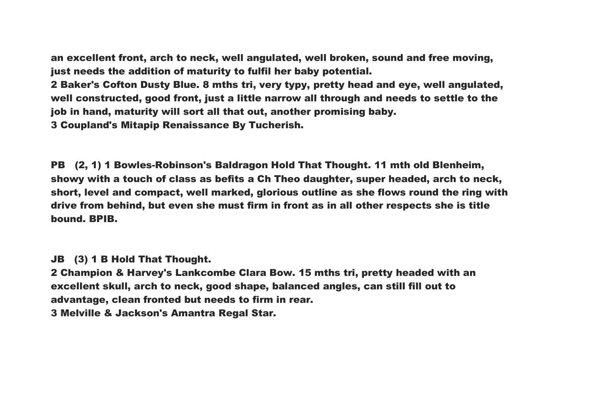an excellent front, arch to neck, well angulated, well broken, sound and free moving, just needs the addition of maturity to fulfil her baby potential.

2 Baker's Cofton Dusty Blue. 8 mths tri, very typy, pretty head and eye, well angulated, well constructed, good front, just a little narrow all through and needs to settle to the job in hand, maturity will sort all that out, another promising baby. 3 Coupland's Mitapip Renaissance By Tucherish.

PB (2, 1) 1 Bowles-Robinson's Baldragon Hold That Thought. 11 mth old Blenheim, showy with a touch of class as befits a Ch Theo daughter, super headed, arch to neck, short, level and compact, well marked, glorious outline as she flows round the ring with drive from behind, but even she must firm in front as in all other respects she is title bound. BPIB.

JB (3) 1 B Hold That Thought.

2 Champion & Harvey's Lankcombe Clara Bow. 15 mths tri, pretty headed with an excellent skull, arch to neck, good shape, balanced angles, can still fill out to advantage, clean fronted but needs to firm in rear.

3 Melville & Jackson's Amantra Regal Star.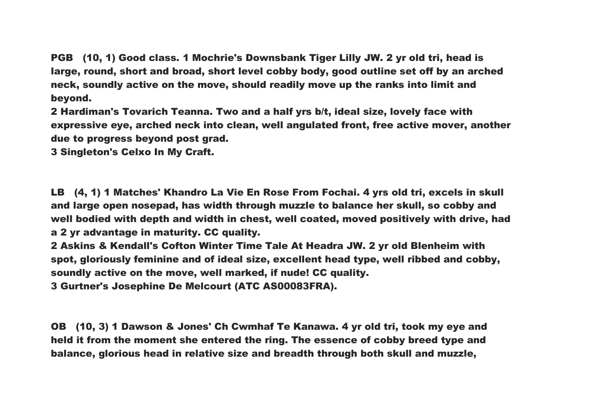PGB (10, 1) Good class. 1 Mochrie's Downsbank Tiger Lilly JW. 2 yr old tri, head is large, round, short and broad, short level cobby body, good outline set off by an arched neck, soundly active on the move, should readily move up the ranks into limit and beyond.

2 Hardiman's Tovarich Teanna. Two and a half yrs b/t, ideal size, lovely face with expressive eye, arched neck into clean, well angulated front, free active mover, another due to progress beyond post grad.

3 Singleton's Celxo In My Craft.

LB (4, 1) 1 Matches' Khandro La Vie En Rose From Fochai. 4 yrs old tri, excels in skull and large open nosepad, has width through muzzle to balance her skull, so cobby and well bodied with depth and width in chest, well coated, moved positively with drive, had a 2 yr advantage in maturity. CC quality.

2 Askins & Kendall's Cofton Winter Time Tale At Headra JW. 2 yr old Blenheim with spot, gloriously feminine and of ideal size, excellent head type, well ribbed and cobby, soundly active on the move, well marked, if nude! CC quality.

3 Gurtner's Josephine De Melcourt (ATC AS00083FRA).

OB (10, 3) 1 Dawson & Jones' Ch Cwmhaf Te Kanawa. 4 yr old tri, took my eye and held it from the moment she entered the ring. The essence of cobby breed type and balance, glorious head in relative size and breadth through both skull and muzzle,